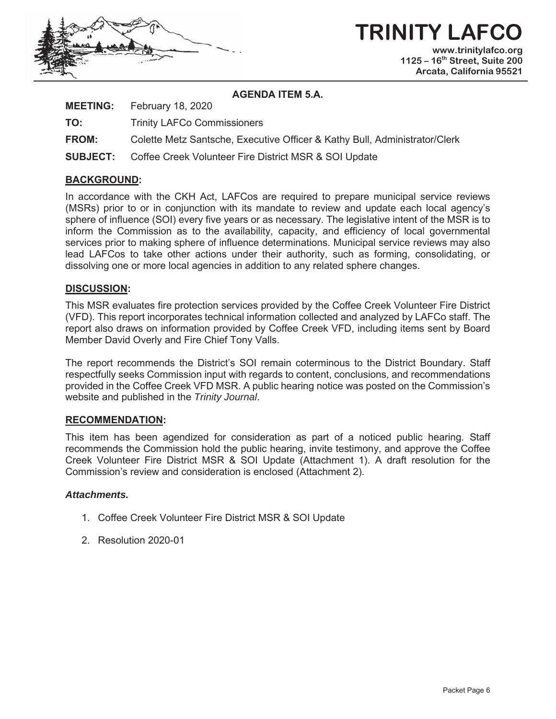

#### **AGENDA ITEM 5.A.**

| <b>MEETING:</b> | February 18, 2020 |  |
|-----------------|-------------------|--|
|-----------------|-------------------|--|

**TO:** Trinity LAFCo Commissioners

**FROM:** Colette Metz Santsche, Executive Officer & Kathy Bull, Administrator/Clerk

**SUBJECT:** Coffee Creek Volunteer Fire District MSR & SOI Update

#### **BACKGROUND:**

In accordance with the CKH Act, LAFCos are required to prepare municipal service reviews (MSRs) prior to or in conjunction with its mandate to review and update each local agency's sphere of influence (SOI) every five years or as necessary. The legislative intent of the MSR is to inform the Commission as to the availability, capacity, and efficiency of local governmental services prior to making sphere of influence determinations. Municipal service reviews may also lead LAFCos to take other actions under their authority, such as forming, consolidating, or dissolving one or more local agencies in addition to any related sphere changes.

#### **DISCUSSION:**

This MSR evaluates fire protection services provided by the Coffee Creek Volunteer Fire District (VFD). This report incorporates technical information collected and analyzed by LAFCo staff. The report also draws on information provided by Coffee Creek VFD, including items sent by Board Member David Overly and Fire Chief Tony Valls.

The report recommends the District's SOI remain coterminous to the District Boundary. Staff respectfully seeks Commission input with regards to content, conclusions, and recommendations provided in the Coffee Creek VFD MSR. A public hearing notice was posted on the Commission's website and published in the *Trinity Journal*.

#### **RECOMMENDATION:**

This item has been agendized for consideration as part of a noticed public hearing. Staff recommends the Commission hold the public hearing, invite testimony, and approve the Coffee Creek Volunteer Fire District MSR & SOI Update (Attachment 1). A draft resolution for the Commission's review and consideration is enclosed (Attachment 2).

#### *Attachments.*

- 1. Coffee Creek Volunteer Fire District MSR & SOI Update
- 2. Resolution 2020-01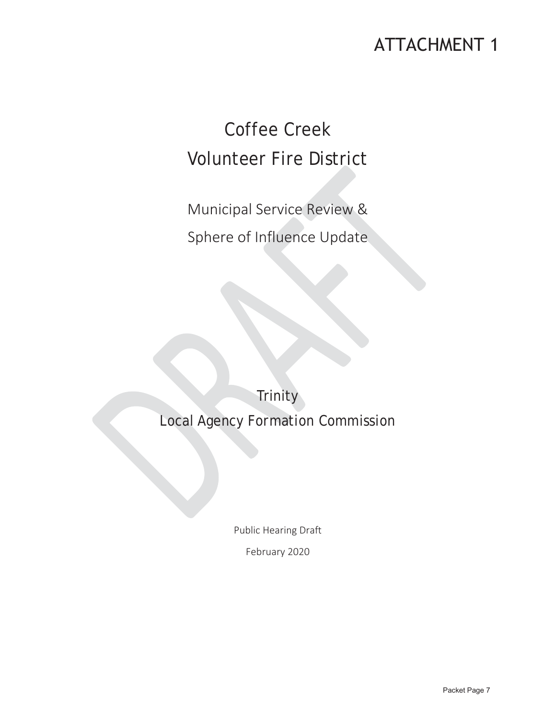## **ATTACHMENT 1**

# Coffee Creek Volunteer Fire District

Municipal Service Review & Sphere of Influence Update

**Trinity** Local Agency Formation Commission

Public Hearing Draft

February 2020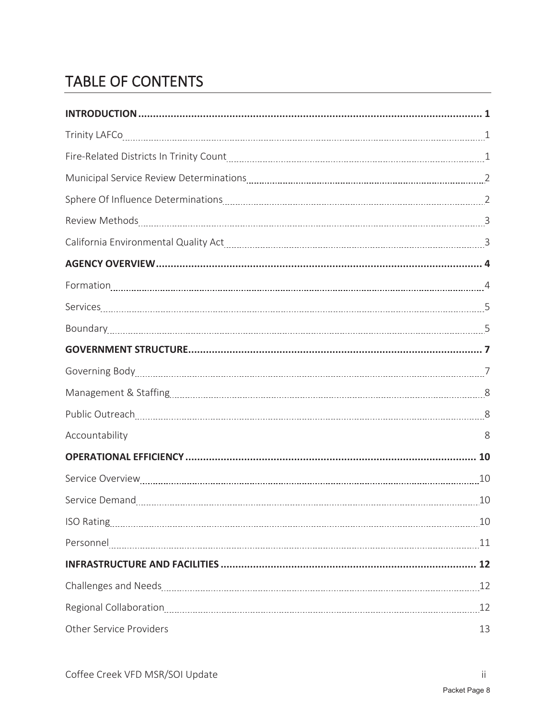## TABLE OF CONTENTS

| Accountability          | 8  |
|-------------------------|----|
|                         |    |
| Service Overview 10     |    |
|                         |    |
|                         |    |
|                         |    |
|                         |    |
|                         |    |
|                         |    |
| Other Service Providers | 13 |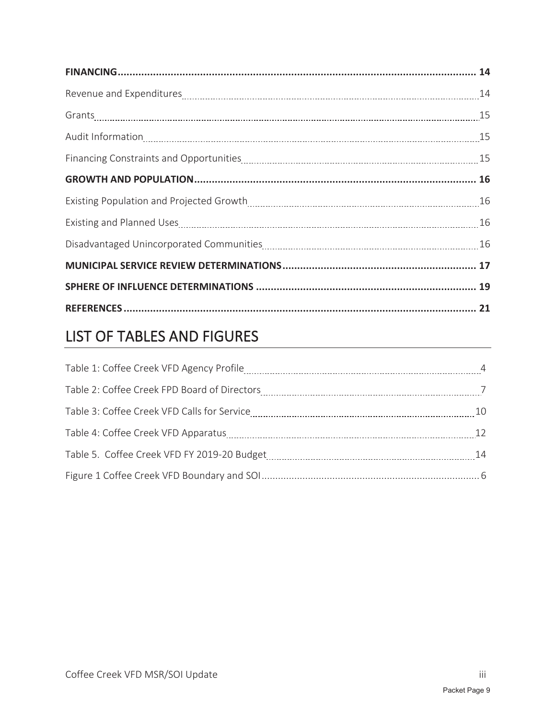## LIST OF TABLES AND FIGURES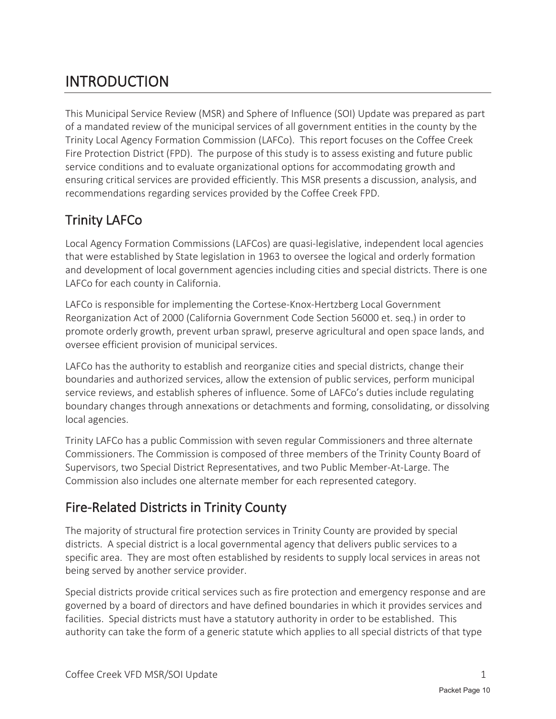## INTRODUCTION

This Municipal Service Review (MSR) and Sphere of Influence (SOI) Update was prepared as part of a mandated review of the municipal services of all government entities in the county by the Trinity Local Agency Formation Commission (LAFCo). This report focuses on the Coffee Creek Fire Protection District (FPD). The purpose of this study is to assess existing and future public service conditions and to evaluate organizational options for accommodating growth and ensuring critical services are provided efficiently. This MSR presents a discussion, analysis, and recommendations regarding services provided by the Coffee Creek FPD.

### Trinity LAFCo

Local Agency Formation Commissions (LAFCos) are quasi-legislative, independent local agencies that were established by State legislation in 1963 to oversee the logical and orderly formation and development of local government agencies including cities and special districts. There is one LAFCo for each county in California.

LAFCo is responsible for implementing the Cortese-Knox-Hertzberg Local Government Reorganization Act of 2000 (California Government Code Section 56000 et. seq.) in order to promote orderly growth, prevent urban sprawl, preserve agricultural and open space lands, and oversee efficient provision of municipal services.

LAFCo has the authority to establish and reorganize cities and special districts, change their boundaries and authorized services, allow the extension of public services, perform municipal service reviews, and establish spheres of influence. Some of LAFCo's duties include regulating boundary changes through annexations or detachments and forming, consolidating, or dissolving local agencies.

Trinity LAFCo has a public Commission with seven regular Commissioners and three alternate Commissioners. The Commission is composed of three members of the Trinity County Board of Supervisors, two Special District Representatives, and two Public Member-At-Large. The Commission also includes one alternate member for each represented category.

### Fire-Related Districts in Trinity County

The majority of structural fire protection services in Trinity County are provided by special districts. A special district is a local governmental agency that delivers public services to a specific area. They are most often established by residents to supply local services in areas not being served by another service provider.

Special districts provide critical services such as fire protection and emergency response and are governed by a board of directors and have defined boundaries in which it provides services and facilities. Special districts must have a statutory authority in order to be established. This authority can take the form of a generic statute which applies to all special districts of that type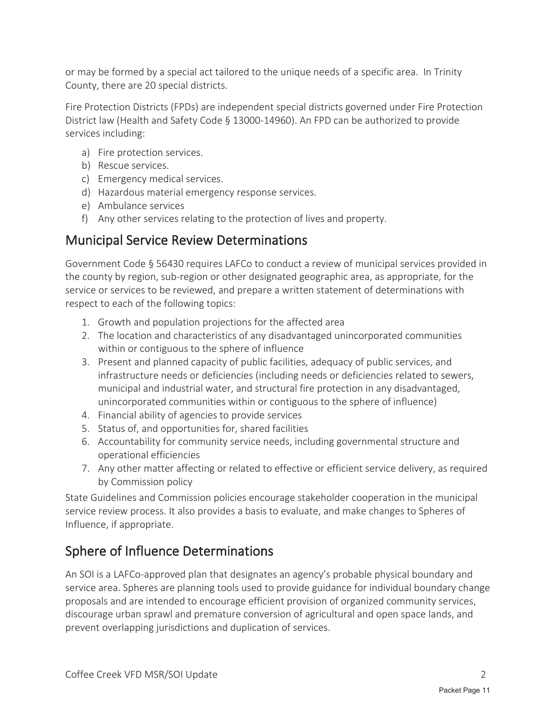or may be formed by a special act tailored to the unique needs of a specific area. In Trinity County, there are 20 special districts.

Fire Protection Districts (FPDs) are independent special districts governed under Fire Protection District law (Health and Safety Code § 13000-14960). An FPD can be authorized to provide services including:

- a) Fire protection services.
- b) Rescue services.
- c) Emergency medical services.
- d) Hazardous material emergency response services.
- e) Ambulance services
- f) Any other services relating to the protection of lives and property.

### Municipal Service Review Determinations

Government Code § 56430 requires LAFCo to conduct a review of municipal services provided in the county by region, sub-region or other designated geographic area, as appropriate, for the service or services to be reviewed, and prepare a written statement of determinations with respect to each of the following topics:

- 1. Growth and population projections for the affected area
- 2. The location and characteristics of any disadvantaged unincorporated communities within or contiguous to the sphere of influence
- 3. Present and planned capacity of public facilities, adequacy of public services, and infrastructure needs or deficiencies (including needs or deficiencies related to sewers, municipal and industrial water, and structural fire protection in any disadvantaged, unincorporated communities within or contiguous to the sphere of influence)
- 4. Financial ability of agencies to provide services
- 5. Status of, and opportunities for, shared facilities
- 6. Accountability for community service needs, including governmental structure and operational efficiencies
- 7. Any other matter affecting or related to effective or efficient service delivery, as required by Commission policy

State Guidelines and Commission policies encourage stakeholder cooperation in the municipal service review process. It also provides a basis to evaluate, and make changes to Spheres of Influence, if appropriate.

## Sphere of Influence Determinations

An SOI is a LAFCo-approved plan that designates an agency's probable physical boundary and service area. Spheres are planning tools used to provide guidance for individual boundary change proposals and are intended to encourage efficient provision of organized community services, discourage urban sprawl and premature conversion of agricultural and open space lands, and prevent overlapping jurisdictions and duplication of services.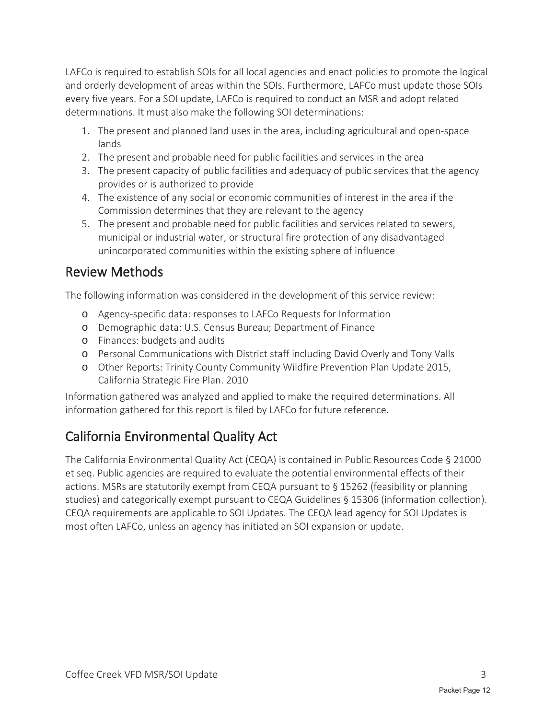LAFCo is required to establish SOIs for all local agencies and enact policies to promote the logical and orderly development of areas within the SOIs. Furthermore, LAFCo must update those SOIs every five years. For a SOI update, LAFCo is required to conduct an MSR and adopt related determinations. It must also make the following SOI determinations:

- 1. The present and planned land uses in the area, including agricultural and open-space lands
- 2. The present and probable need for public facilities and services in the area
- 3. The present capacity of public facilities and adequacy of public services that the agency provides or is authorized to provide
- 4. The existence of any social or economic communities of interest in the area if the Commission determines that they are relevant to the agency
- 5. The present and probable need for public facilities and services related to sewers, municipal or industrial water, or structural fire protection of any disadvantaged unincorporated communities within the existing sphere of influence

#### Review Methods

The following information was considered in the development of this service review:

- o Agency-specific data: responses to LAFCo Requests for Information
- o Demographic data: U.S. Census Bureau; Department of Finance
- o Finances: budgets and audits
- o Personal Communications with District staff including David Overly and Tony Valls
- o Other Reports: Trinity County Community Wildfire Prevention Plan Update 2015, California Strategic Fire Plan. 2010

Information gathered was analyzed and applied to make the required determinations. All information gathered for this report is filed by LAFCo for future reference.

### California Environmental Quality Act

The California Environmental Quality Act (CEQA) is contained in Public Resources Code § 21000 et seq. Public agencies are required to evaluate the potential environmental effects of their actions. MSRs are statutorily exempt from CEQA pursuant to § 15262 (feasibility or planning studies) and categorically exempt pursuant to CEQA Guidelines § 15306 (information collection). CEQA requirements are applicable to SOI Updates. The CEQA lead agency for SOI Updates is most often LAFCo, unless an agency has initiated an SOI expansion or update.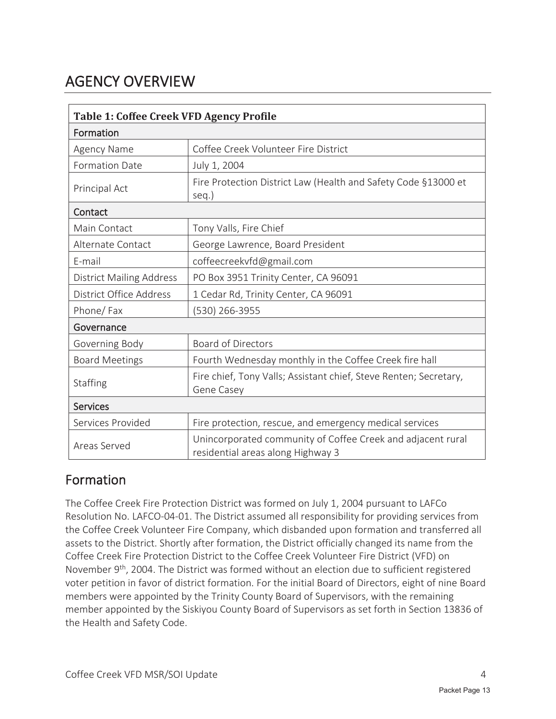## AGENCY OVERVIEW

| <b>Table 1: Coffee Creek VFD Agency Profile</b> |                                                                                                  |  |
|-------------------------------------------------|--------------------------------------------------------------------------------------------------|--|
| Formation                                       |                                                                                                  |  |
| Agency Name                                     | Coffee Creek Volunteer Fire District                                                             |  |
| <b>Formation Date</b>                           | July 1, 2004                                                                                     |  |
| Principal Act                                   | Fire Protection District Law (Health and Safety Code §13000 et<br>seq.)                          |  |
| Contact                                         |                                                                                                  |  |
| Main Contact                                    | Tony Valls, Fire Chief                                                                           |  |
| Alternate Contact                               | George Lawrence, Board President                                                                 |  |
| E-mail                                          | coffeecreekvfd@gmail.com                                                                         |  |
| <b>District Mailing Address</b>                 | PO Box 3951 Trinity Center, CA 96091                                                             |  |
| District Office Address                         | 1 Cedar Rd, Trinity Center, CA 96091                                                             |  |
| Phone/Fax                                       | (530) 266-3955                                                                                   |  |
| Governance                                      |                                                                                                  |  |
| Governing Body                                  | <b>Board of Directors</b>                                                                        |  |
| <b>Board Meetings</b>                           | Fourth Wednesday monthly in the Coffee Creek fire hall                                           |  |
| Staffing                                        | Fire chief, Tony Valls; Assistant chief, Steve Renten; Secretary,<br>Gene Casey                  |  |
| <b>Services</b>                                 |                                                                                                  |  |
| Services Provided                               | Fire protection, rescue, and emergency medical services                                          |  |
| Areas Served                                    | Unincorporated community of Coffee Creek and adjacent rural<br>residential areas along Highway 3 |  |

#### Formation

The Coffee Creek Fire Protection District was formed on July 1, 2004 pursuant to LAFCo Resolution No. LAFCO-04-01. The District assumed all responsibility for providing services from the Coffee Creek Volunteer Fire Company, which disbanded upon formation and transferred all assets to the District. Shortly after formation, the District officially changed its name from the Coffee Creek Fire Protection District to the Coffee Creek Volunteer Fire District (VFD) on November 9<sup>th</sup>, 2004. The District was formed without an election due to sufficient registered voter petition in favor of district formation. For the initial Board of Directors, eight of nine Board members were appointed by the Trinity County Board of Supervisors, with the remaining member appointed by the Siskiyou County Board of Supervisors as set forth in Section 13836 of the Health and Safety Code.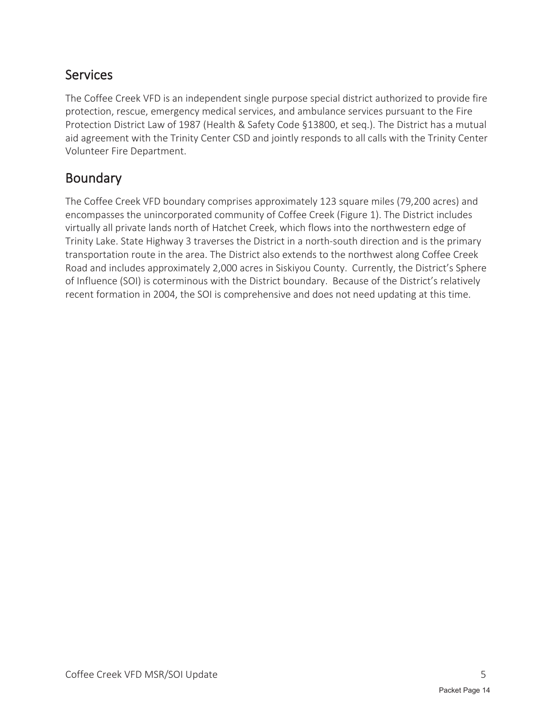### Services

The Coffee Creek VFD is an independent single purpose special district authorized to provide fire protection, rescue, emergency medical services, and ambulance services pursuant to the Fire Protection District Law of 1987 (Health & Safety Code §13800, et seq.). The District has a mutual aid agreement with the Trinity Center CSD and jointly responds to all calls with the Trinity Center Volunteer Fire Department.

### Boundary

The Coffee Creek VFD boundary comprises approximately 123 square miles (79,200 acres) and encompasses the unincorporated community of Coffee Creek (Figure 1). The District includes virtually all private lands north of Hatchet Creek, which flows into the northwestern edge of Trinity Lake. State Highway 3 traverses the District in a north-south direction and is the primary transportation route in the area. The District also extends to the northwest along Coffee Creek Road and includes approximately 2,000 acres in Siskiyou County. Currently, the District's Sphere of Influence (SOI) is coterminous with the District boundary. Because of the District's relatively recent formation in 2004, the SOI is comprehensive and does not need updating at this time.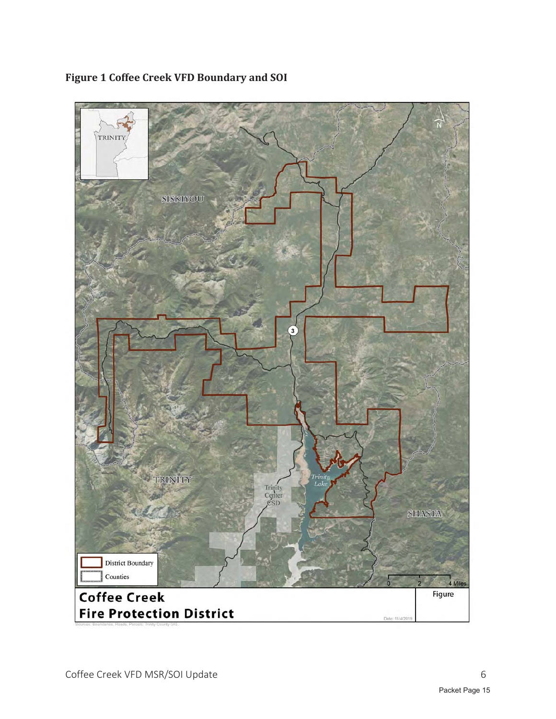

#### **Figure 1 Coffee Creek VFD Boundary and SOI**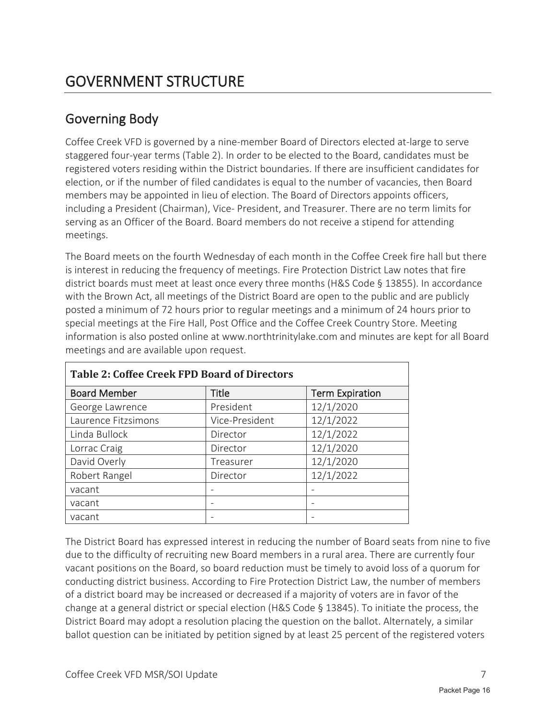### Governing Body

Coffee Creek VFD is governed by a nine-member Board of Directors elected at-large to serve staggered four-year terms (Table 2). In order to be elected to the Board, candidates must be registered voters residing within the District boundaries. If there are insufficient candidates for election, or if the number of filed candidates is equal to the number of vacancies, then Board members may be appointed in lieu of election. The Board of Directors appoints officers, including a President (Chairman), Vice- President, and Treasurer. There are no term limits for serving as an Officer of the Board. Board members do not receive a stipend for attending meetings.

The Board meets on the fourth Wednesday of each month in the Coffee Creek fire hall but there is interest in reducing the frequency of meetings. Fire Protection District Law notes that fire district boards must meet at least once every three months (H&S Code § 13855). In accordance with the Brown Act, all meetings of the District Board are open to the public and are publicly posted a minimum of 72 hours prior to regular meetings and a minimum of 24 hours prior to special meetings at the Fire Hall, Post Office and the Coffee Creek Country Store. Meeting information is also posted online at www.northtrinitylake.com and minutes are kept for all Board meetings and are available upon request.

| <b>Table 2: Coffee Creek FPD Board of Directors</b> |                |                        |  |
|-----------------------------------------------------|----------------|------------------------|--|
| <b>Board Member</b>                                 | <b>Title</b>   | <b>Term Expiration</b> |  |
| George Lawrence                                     | President      | 12/1/2020              |  |
| Laurence Fitzsimons                                 | Vice-President | 12/1/2022              |  |
| Linda Bullock                                       | Director       | 12/1/2022              |  |
| Lorrac Craig                                        | Director       | 12/1/2020              |  |
| David Overly                                        | Treasurer      | 12/1/2020              |  |
| Robert Rangel                                       | Director       | 12/1/2022              |  |
| vacant                                              |                |                        |  |
| vacant                                              |                |                        |  |
| vacant                                              |                |                        |  |

The District Board has expressed interest in reducing the number of Board seats from nine to five due to the difficulty of recruiting new Board members in a rural area. There are currently four vacant positions on the Board, so board reduction must be timely to avoid loss of a quorum for conducting district business. According to Fire Protection District Law, the number of members of a district board may be increased or decreased if a majority of voters are in favor of the change at a general district or special election (H&S Code § 13845). To initiate the process, the District Board may adopt a resolution placing the question on the ballot. Alternately, a similar ballot question can be initiated by petition signed by at least 25 percent of the registered voters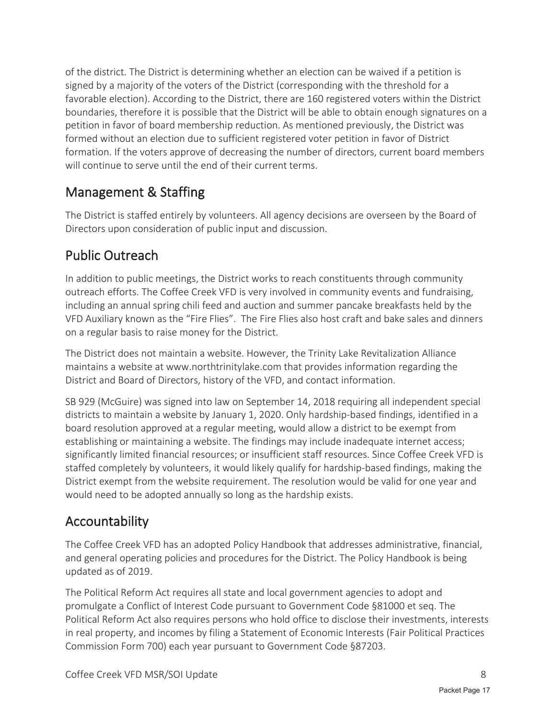of the district. The District is determining whether an election can be waived if a petition is signed by a majority of the voters of the District (corresponding with the threshold for a favorable election). According to the District, there are 160 registered voters within the District boundaries, therefore it is possible that the District will be able to obtain enough signatures on a petition in favor of board membership reduction. As mentioned previously, the District was formed without an election due to sufficient registered voter petition in favor of District formation. If the voters approve of decreasing the number of directors, current board members will continue to serve until the end of their current terms.

### Management & Staffing

The District is staffed entirely by volunteers. All agency decisions are overseen by the Board of Directors upon consideration of public input and discussion.

### Public Outreach

In addition to public meetings, the District works to reach constituents through community outreach efforts. The Coffee Creek VFD is very involved in community events and fundraising, including an annual spring chili feed and auction and summer pancake breakfasts held by the VFD Auxiliary known as the "Fire Flies". The Fire Flies also host craft and bake sales and dinners on a regular basis to raise money for the District.

The District does not maintain a website. However, the Trinity Lake Revitalization Alliance maintains a website at www.northtrinitylake.com that provides information regarding the District and Board of Directors, history of the VFD, and contact information.

SB 929 (McGuire) was signed into law on September 14, 2018 requiring all independent special districts to maintain a website by January 1, 2020. Only hardship-based findings, identified in a board resolution approved at a regular meeting, would allow a district to be exempt from establishing or maintaining a website. The findings may include inadequate internet access; significantly limited financial resources; or insufficient staff resources. Since Coffee Creek VFD is staffed completely by volunteers, it would likely qualify for hardship-based findings, making the District exempt from the website requirement. The resolution would be valid for one year and would need to be adopted annually so long as the hardship exists.

### Accountability

The Coffee Creek VFD has an adopted Policy Handbook that addresses administrative, financial, and general operating policies and procedures for the District. The Policy Handbook is being updated as of 2019.

The Political Reform Act requires all state and local government agencies to adopt and promulgate a Conflict of Interest Code pursuant to Government Code §81000 et seq. The Political Reform Act also requires persons who hold office to disclose their investments, interests in real property, and incomes by filing a Statement of Economic Interests (Fair Political Practices Commission Form 700) each year pursuant to Government Code §87203.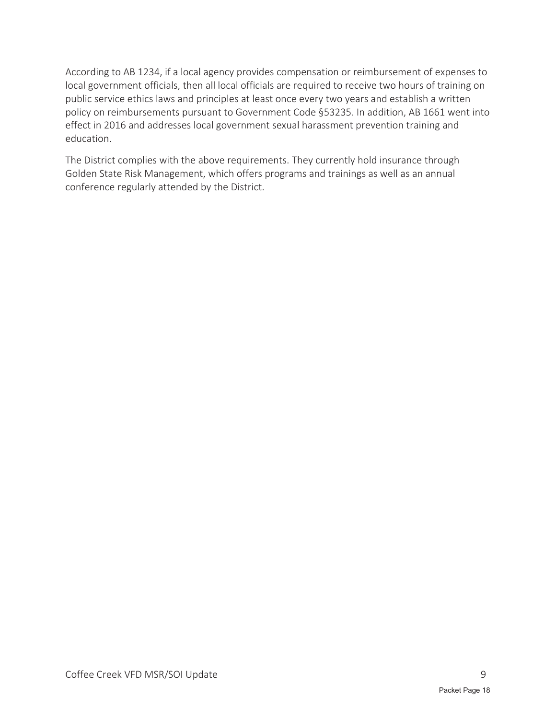According to AB 1234, if a local agency provides compensation or reimbursement of expenses to local government officials, then all local officials are required to receive two hours of training on public service ethics laws and principles at least once every two years and establish a written policy on reimbursements pursuant to Government Code §53235. In addition, AB 1661 went into effect in 2016 and addresses local government sexual harassment prevention training and education.

The District complies with the above requirements. They currently hold insurance through Golden State Risk Management, which offers programs and trainings as well as an annual conference regularly attended by the District.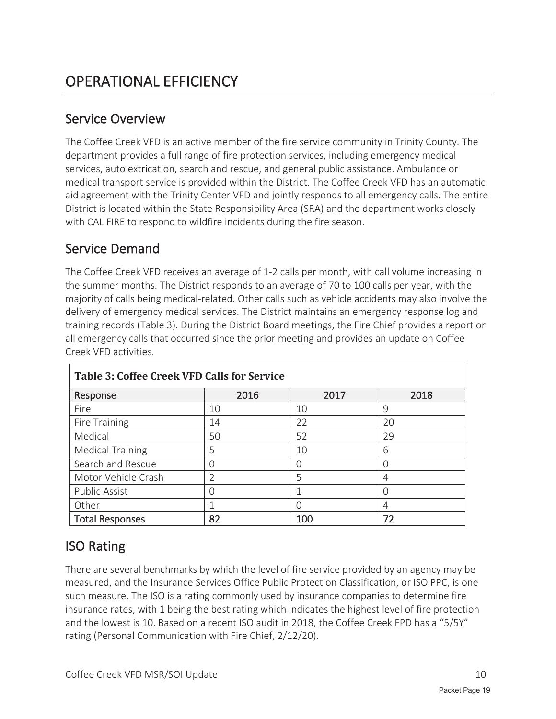#### Service Overview

The Coffee Creek VFD is an active member of the fire service community in Trinity County. The department provides a full range of fire protection services, including emergency medical services, auto extrication, search and rescue, and general public assistance. Ambulance or medical transport service is provided within the District. The Coffee Creek VFD has an automatic aid agreement with the Trinity Center VFD and jointly responds to all emergency calls. The entire District is located within the State Responsibility Area (SRA) and the department works closely with CAL FIRE to respond to wildfire incidents during the fire season.

#### Service Demand

The Coffee Creek VFD receives an average of 1-2 calls per month, with call volume increasing in the summer months. The District responds to an average of 70 to 100 calls per year, with the majority of calls being medical-related. Other calls such as vehicle accidents may also involve the delivery of emergency medical services. The District maintains an emergency response log and training records (Table 3). During the District Board meetings, the Fire Chief provides a report on all emergency calls that occurred since the prior meeting and provides an update on Coffee Creek VFD activities.

| <b>Table 3: Coffee Creek VFD Calls for Service</b> |               |      |      |
|----------------------------------------------------|---------------|------|------|
| Response                                           | 2016          | 2017 | 2018 |
| Fire                                               | 10            | 10   | 9    |
| Fire Training                                      | 14            | 22   | 20   |
| Medical                                            | 50            | 52   | 29   |
| <b>Medical Training</b>                            | 5             | 10   | 6    |
| Search and Rescue                                  | ∩             |      | O    |
| Motor Vehicle Crash                                | $\mathcal{P}$ | 5    | 4    |
| <b>Public Assist</b>                               |               |      |      |
| Other                                              |               |      | 4    |
| <b>Total Responses</b>                             | 82            | 100  | 72   |

### ISO Rating

There are several benchmarks by which the level of fire service provided by an agency may be measured, and the Insurance Services Office Public Protection Classification, or ISO PPC, is one such measure. The ISO is a rating commonly used by insurance companies to determine fire insurance rates, with 1 being the best rating which indicates the highest level of fire protection and the lowest is 10. Based on a recent ISO audit in 2018, the Coffee Creek FPD has a "5/5Y" rating (Personal Communication with Fire Chief, 2/12/20).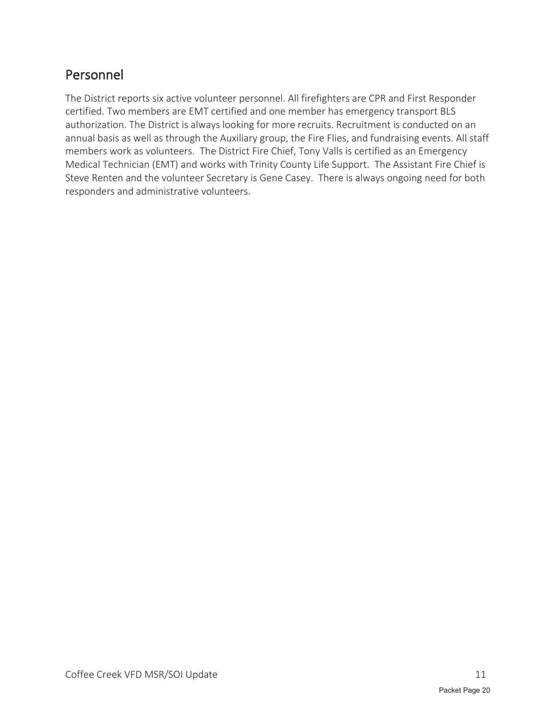### Personnel

The District reports six active volunteer personnel. All firefighters are CPR and First Responder certified. Two members are EMT certified and one member has emergency transport BLS authorization. The District is always looking for more recruits. Recruitment is conducted on an annual basis as well as through the Auxiliary group, the Fire Flies, and fundraising events. All staff members work as volunteers. The District Fire Chief, Tony Valls is certified as an Emergency Medical Technician (EMT) and works with Trinity County Life Support. The Assistant Fire Chief is Steve Renten and the volunteer Secretary is Gene Casey. There is always ongoing need for both responders and administrative volunteers.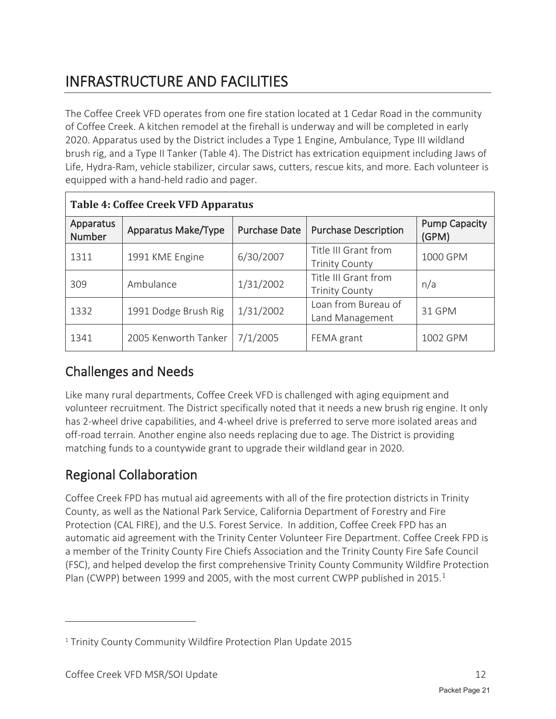## INFRASTRUCTURE AND FACILITIES

The Coffee Creek VFD operates from one fire station located at 1 Cedar Road in the community of Coffee Creek. A kitchen remodel at the firehall is underway and will be completed in early 2020. Apparatus used by the District includes a Type 1 Engine, Ambulance, Type III wildland brush rig, and a Type II Tanker (Table 4). The District has extrication equipment including Jaws of Life, Hydra-Ram, vehicle stabilizer, circular saws, cutters, rescue kits, and more. Each volunteer is equipped with a hand-held radio and pager.

| <b>Table 4: Coffee Creek VFD Apparatus</b> |                      |                      |                                               |                               |
|--------------------------------------------|----------------------|----------------------|-----------------------------------------------|-------------------------------|
| Apparatus<br><b>Number</b>                 | Apparatus Make/Type  | <b>Purchase Date</b> | <b>Purchase Description</b>                   | <b>Pump Capacity</b><br>(GPM) |
| 1311                                       | 1991 KME Engine      | 6/30/2007            | Title III Grant from<br><b>Trinity County</b> | 1000 GPM                      |
| 309                                        | Ambulance            | 1/31/2002            | Title III Grant from<br><b>Trinity County</b> | n/a                           |
| 1332                                       | 1991 Dodge Brush Rig | 1/31/2002            | Loan from Bureau of<br>Land Management        | 31 GPM                        |
| 1341                                       | 2005 Kenworth Tanker | 7/1/2005             | FEMA grant                                    | 1002 GPM                      |

#### Challenges and Needs

Like many rural departments, Coffee Creek VFD is challenged with aging equipment and volunteer recruitment. The District specifically noted that it needs a new brush rig engine. It only has 2-wheel drive capabilities, and 4-wheel drive is preferred to serve more isolated areas and off-road terrain. Another engine also needs replacing due to age. The District is providing matching funds to a countywide grant to upgrade their wildland gear in 2020.

### Regional Collaboration

Coffee Creek FPD has mutual aid agreements with all of the fire protection districts in Trinity County, as well as the National Park Service, California Department of Forestry and Fire Protection (CAL FIRE), and the U.S. Forest Service. In addition, Coffee Creek FPD has an automatic aid agreement with the Trinity Center Volunteer Fire Department. Coffee Creek FPD is a member of the Trinity County Fire Chiefs Association and the Trinity County Fire Safe Council (FSC), and helped develop the first comprehensive Trinity County Community Wildfire Protection Plan (CWPP) between 1999 and 2005, with the most current CWPP published in 2015.<sup>1</sup>

<sup>1</sup> Trinity County Community Wildfire Protection Plan Update 2015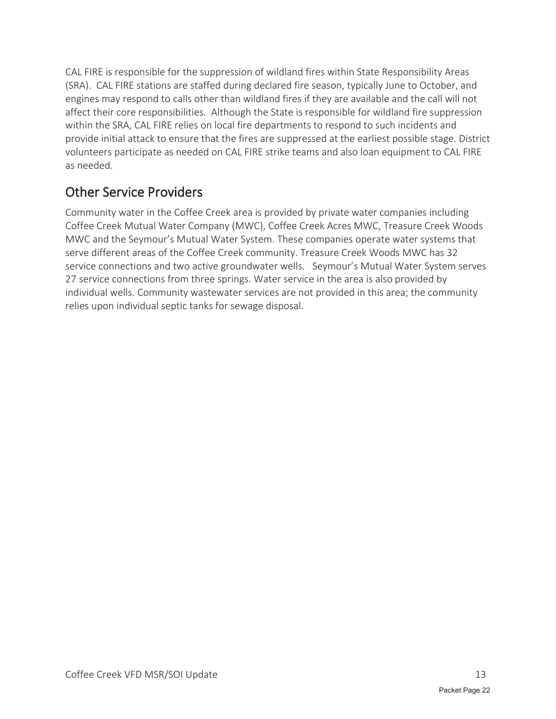CAL FIRE is responsible for the suppression of wildland fires within State Responsibility Areas (SRA). CAL FIRE stations are staffed during declared fire season, typically June to October, and engines may respond to calls other than wildland fires if they are available and the call will not affect their core responsibilities. Although the State is responsible for wildland fire suppression within the SRA, CAL FIRE relies on local fire departments to respond to such incidents and provide initial attack to ensure that the fires are suppressed at the earliest possible stage. District volunteers participate as needed on CAL FIRE strike teams and also loan equipment to CAL FIRE as needed.

### Other Service Providers

Community water in the Coffee Creek area is provided by private water companies including Coffee Creek Mutual Water Company (MWC), Coffee Creek Acres MWC, Treasure Creek Woods MWC and the Seymour's Mutual Water System. These companies operate water systems that serve different areas of the Coffee Creek community. Treasure Creek Woods MWC has 32 service connections and two active groundwater wells. Seymour's Mutual Water System serves 27 service connections from three springs. Water service in the area is also provided by individual wells. Community wastewater services are not provided in this area; the community relies upon individual septic tanks for sewage disposal.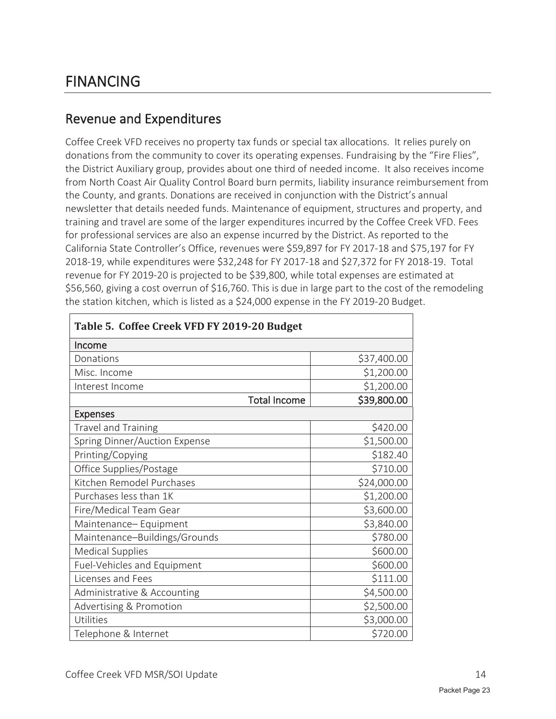### FINANCING

#### Revenue and Expenditures

Coffee Creek VFD receives no property tax funds or special tax allocations. It relies purely on donations from the community to cover its operating expenses. Fundraising by the "Fire Flies", the District Auxiliary group, provides about one third of needed income. It also receives income from North Coast Air Quality Control Board burn permits, liability insurance reimbursement from the County, and grants. Donations are received in conjunction with the District's annual newsletter that details needed funds. Maintenance of equipment, structures and property, and training and travel are some of the larger expenditures incurred by the Coffee Creek VFD. Fees for professional services are also an expense incurred by the District. As reported to the California State Controller's Office, revenues were \$59,897 for FY 2017-18 and \$75,197 for FY 2018-19, while expenditures were \$32,248 for FY 2017-18 and \$27,372 for FY 2018-19. Total revenue for FY 2019-20 is projected to be \$39,800, while total expenses are estimated at \$56,560, giving a cost overrun of \$16,760. This is due in large part to the cost of the remodeling the station kitchen, which is listed as a \$24,000 expense in the FY 2019-20 Budget.

| Table 5. Coffee Creek VFD FY 2019-20 Budget |             |  |
|---------------------------------------------|-------------|--|
| Income                                      |             |  |
| Donations                                   | \$37,400.00 |  |
| Misc. Income                                | \$1,200.00  |  |
| Interest Income                             | \$1,200.00  |  |
| <b>Total Income</b>                         | \$39,800.00 |  |
| <b>Expenses</b>                             |             |  |
| Travel and Training                         | \$420.00    |  |
| Spring Dinner/Auction Expense               | \$1,500.00  |  |
| Printing/Copying                            | \$182.40    |  |
| Office Supplies/Postage                     | \$710.00    |  |
| Kitchen Remodel Purchases                   | \$24,000.00 |  |
| Purchases less than 1K                      | \$1,200.00  |  |
| Fire/Medical Team Gear                      | \$3,600.00  |  |
| Maintenance-Equipment                       | \$3,840.00  |  |
| Maintenance-Buildings/Grounds               | \$780.00    |  |
| <b>Medical Supplies</b>                     | \$600.00    |  |
| Fuel-Vehicles and Equipment                 | \$600.00    |  |
| Licenses and Fees                           | \$111.00    |  |
| Administrative & Accounting                 | \$4,500.00  |  |
| Advertising & Promotion                     | \$2,500.00  |  |
| Utilities                                   | \$3,000.00  |  |
| Telephone & Internet                        | \$720.00    |  |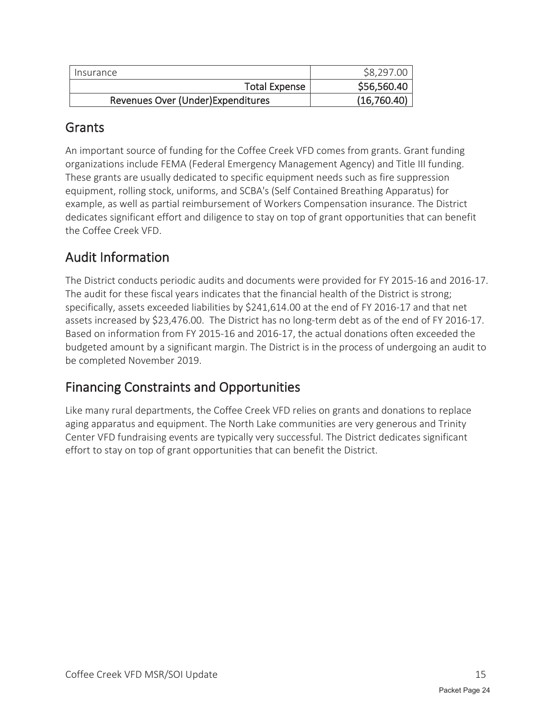| Insurance                          | \$8,297.00  |
|------------------------------------|-------------|
| <b>Total Expense</b>               | \$56,560.40 |
| Revenues Over (Under) Expenditures | (16,760.40) |

#### **Grants**

An important source of funding for the Coffee Creek VFD comes from grants. Grant funding organizations include FEMA (Federal Emergency Management Agency) and Title III funding. These grants are usually dedicated to specific equipment needs such as fire suppression equipment, rolling stock, uniforms, and SCBA's (Self Contained Breathing Apparatus) for example, as well as partial reimbursement of Workers Compensation insurance. The District dedicates significant effort and diligence to stay on top of grant opportunities that can benefit the Coffee Creek VFD.

### Audit Information

The District conducts periodic audits and documents were provided for FY 2015-16 and 2016-17. The audit for these fiscal years indicates that the financial health of the District is strong; specifically, assets exceeded liabilities by \$241,614.00 at the end of FY 2016-17 and that net assets increased by \$23,476.00. The District has no long-term debt as of the end of FY 2016-17. Based on information from FY 2015-16 and 2016-17, the actual donations often exceeded the budgeted amount by a significant margin. The District is in the process of undergoing an audit to be completed November 2019.

### Financing Constraints and Opportunities

Like many rural departments, the Coffee Creek VFD relies on grants and donations to replace aging apparatus and equipment. The North Lake communities are very generous and Trinity Center VFD fundraising events are typically very successful. The District dedicates significant effort to stay on top of grant opportunities that can benefit the District.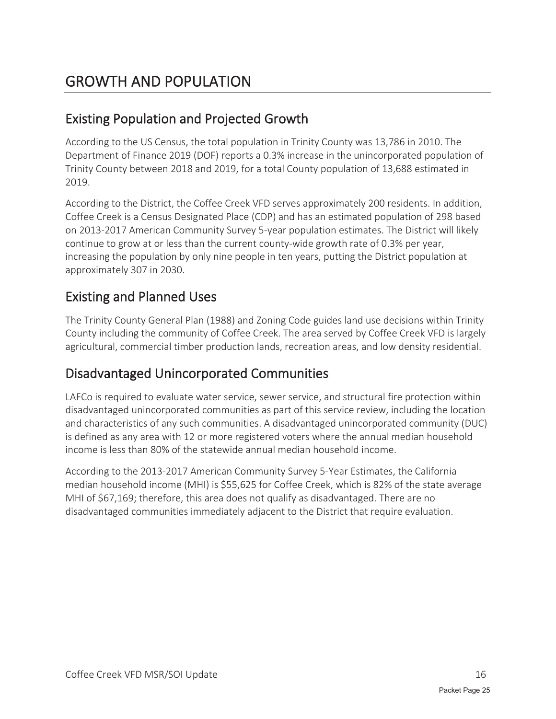### Existing Population and Projected Growth

According to the US Census, the total population in Trinity County was 13,786 in 2010. The Department of Finance 2019 (DOF) reports a 0.3% increase in the unincorporated population of Trinity County between 2018 and 2019, for a total County population of 13,688 estimated in 2019.

According to the District, the Coffee Creek VFD serves approximately 200 residents. In addition, Coffee Creek is a Census Designated Place (CDP) and has an estimated population of 298 based on 2013-2017 American Community Survey 5-year population estimates. The District will likely continue to grow at or less than the current county-wide growth rate of 0.3% per year, increasing the population by only nine people in ten years, putting the District population at approximately 307 in 2030.

### Existing and Planned Uses

The Trinity County General Plan (1988) and Zoning Code guides land use decisions within Trinity County including the community of Coffee Creek. The area served by Coffee Creek VFD is largely agricultural, commercial timber production lands, recreation areas, and low density residential.

#### Disadvantaged Unincorporated Communities

LAFCo is required to evaluate water service, sewer service, and structural fire protection within disadvantaged unincorporated communities as part of this service review, including the location and characteristics of any such communities. A disadvantaged unincorporated community (DUC) is defined as any area with 12 or more registered voters where the annual median household income is less than 80% of the statewide annual median household income.

According to the 2013-2017 American Community Survey 5-Year Estimates, the California median household income (MHI) is \$55,625 for Coffee Creek, which is 82% of the state average MHI of \$67,169; therefore, this area does not qualify as disadvantaged. There are no disadvantaged communities immediately adjacent to the District that require evaluation.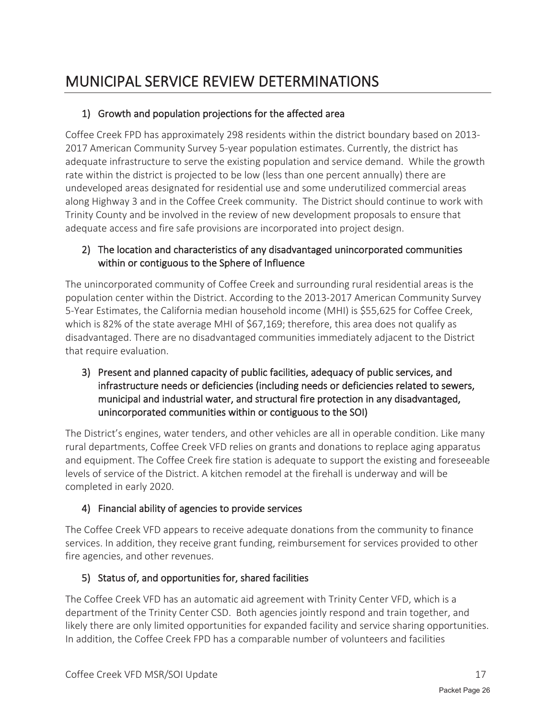#### 1) Growth and population projections for the affected area

Coffee Creek FPD has approximately 298 residents within the district boundary based on 2013- 2017 American Community Survey 5-year population estimates. Currently, the district has adequate infrastructure to serve the existing population and service demand. While the growth rate within the district is projected to be low (less than one percent annually) there are undeveloped areas designated for residential use and some underutilized commercial areas along Highway 3 and in the Coffee Creek community. The District should continue to work with Trinity County and be involved in the review of new development proposals to ensure that adequate access and fire safe provisions are incorporated into project design.

#### 2) The location and characteristics of any disadvantaged unincorporated communities within or contiguous to the Sphere of Influence

The unincorporated community of Coffee Creek and surrounding rural residential areas is the population center within the District. According to the 2013-2017 American Community Survey 5-Year Estimates, the California median household income (MHI) is \$55,625 for Coffee Creek, which is 82% of the state average MHI of \$67,169; therefore, this area does not qualify as disadvantaged. There are no disadvantaged communities immediately adjacent to the District that require evaluation.

3) Present and planned capacity of public facilities, adequacy of public services, and infrastructure needs or deficiencies (including needs or deficiencies related to sewers, municipal and industrial water, and structural fire protection in any disadvantaged, unincorporated communities within or contiguous to the SOI)

The District's engines, water tenders, and other vehicles are all in operable condition. Like many rural departments, Coffee Creek VFD relies on grants and donations to replace aging apparatus and equipment. The Coffee Creek fire station is adequate to support the existing and foreseeable levels of service of the District. A kitchen remodel at the firehall is underway and will be completed in early 2020.

#### 4) Financial ability of agencies to provide services

The Coffee Creek VFD appears to receive adequate donations from the community to finance services. In addition, they receive grant funding, reimbursement for services provided to other fire agencies, and other revenues.

#### 5) Status of, and opportunities for, shared facilities

The Coffee Creek VFD has an automatic aid agreement with Trinity Center VFD, which is a department of the Trinity Center CSD. Both agencies jointly respond and train together, and likely there are only limited opportunities for expanded facility and service sharing opportunities. In addition, the Coffee Creek FPD has a comparable number of volunteers and facilities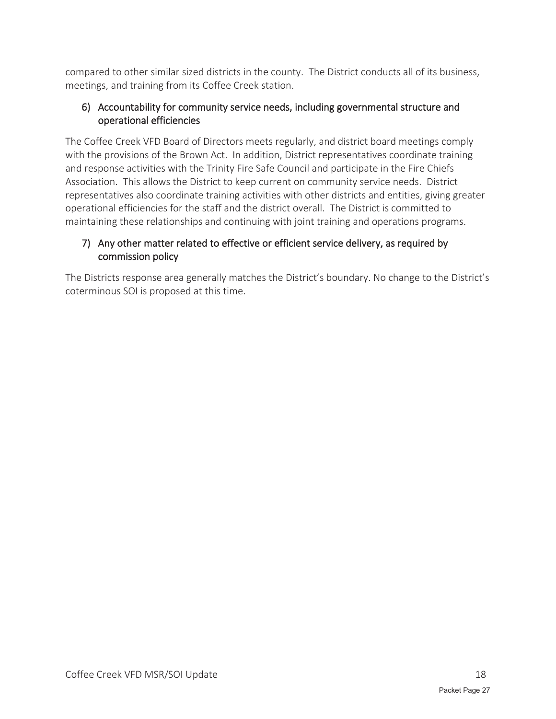compared to other similar sized districts in the county. The District conducts all of its business, meetings, and training from its Coffee Creek station.

#### 6) Accountability for community service needs, including governmental structure and operational efficiencies

The Coffee Creek VFD Board of Directors meets regularly, and district board meetings comply with the provisions of the Brown Act. In addition, District representatives coordinate training and response activities with the Trinity Fire Safe Council and participate in the Fire Chiefs Association. This allows the District to keep current on community service needs. District representatives also coordinate training activities with other districts and entities, giving greater operational efficiencies for the staff and the district overall. The District is committed to maintaining these relationships and continuing with joint training and operations programs.

#### 7) Any other matter related to effective or efficient service delivery, as required by commission policy

The Districts response area generally matches the District's boundary. No change to the District's coterminous SOI is proposed at this time.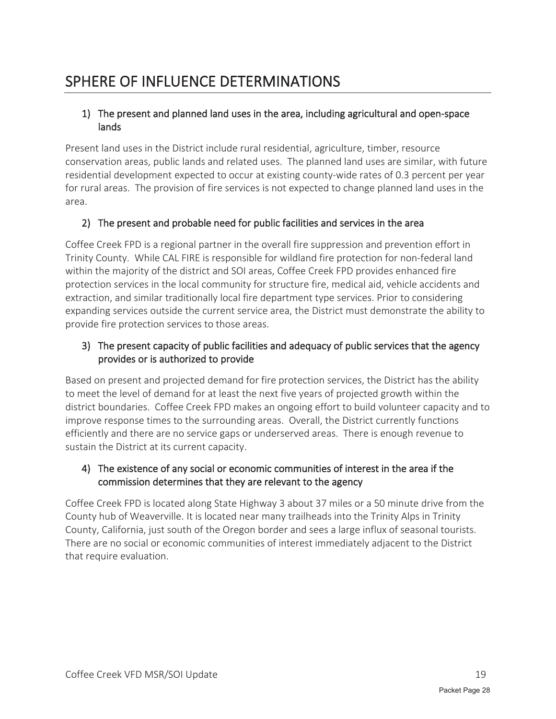### SPHERE OF INFLUENCE DETERMINATIONS

#### 1) The present and planned land uses in the area, including agricultural and open-space lands

Present land uses in the District include rural residential, agriculture, timber, resource conservation areas, public lands and related uses. The planned land uses are similar, with future residential development expected to occur at existing county-wide rates of 0.3 percent per year for rural areas. The provision of fire services is not expected to change planned land uses in the area.

#### 2) The present and probable need for public facilities and services in the area

Coffee Creek FPD is a regional partner in the overall fire suppression and prevention effort in Trinity County. While CAL FIRE is responsible for wildland fire protection for non-federal land within the majority of the district and SOI areas, Coffee Creek FPD provides enhanced fire protection services in the local community for structure fire, medical aid, vehicle accidents and extraction, and similar traditionally local fire department type services. Prior to considering expanding services outside the current service area, the District must demonstrate the ability to provide fire protection services to those areas.

#### 3) The present capacity of public facilities and adequacy of public services that the agency provides or is authorized to provide

Based on present and projected demand for fire protection services, the District has the ability to meet the level of demand for at least the next five years of projected growth within the district boundaries. Coffee Creek FPD makes an ongoing effort to build volunteer capacity and to improve response times to the surrounding areas. Overall, the District currently functions efficiently and there are no service gaps or underserved areas. There is enough revenue to sustain the District at its current capacity.

#### 4) The existence of any social or economic communities of interest in the area if the commission determines that they are relevant to the agency

Coffee Creek FPD is located along State Highway 3 about 37 miles or a 50 minute drive from the County hub of Weaverville. It is located near many trailheads into the Trinity Alps in Trinity County, California, just south of the Oregon border and sees a large influx of seasonal tourists. There are no social or economic communities of interest immediately adjacent to the District that require evaluation.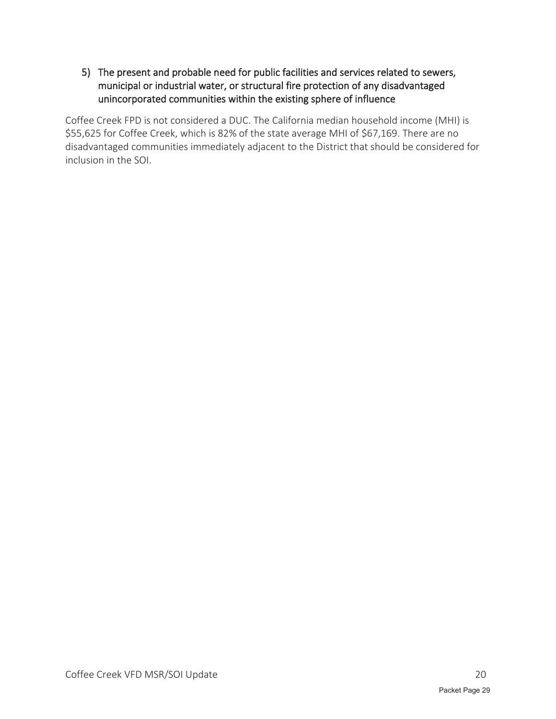5) The present and probable need for public facilities and services related to sewers, municipal or industrial water, or structural fire protection of any disadvantaged unincorporated communities within the existing sphere of influence

Coffee Creek FPD is not considered a DUC. The California median household income (MHI) is \$55,625 for Coffee Creek, which is 82% of the state average MHI of \$67,169. There are no disadvantaged communities immediately adjacent to the District that should be considered for inclusion in the SOI.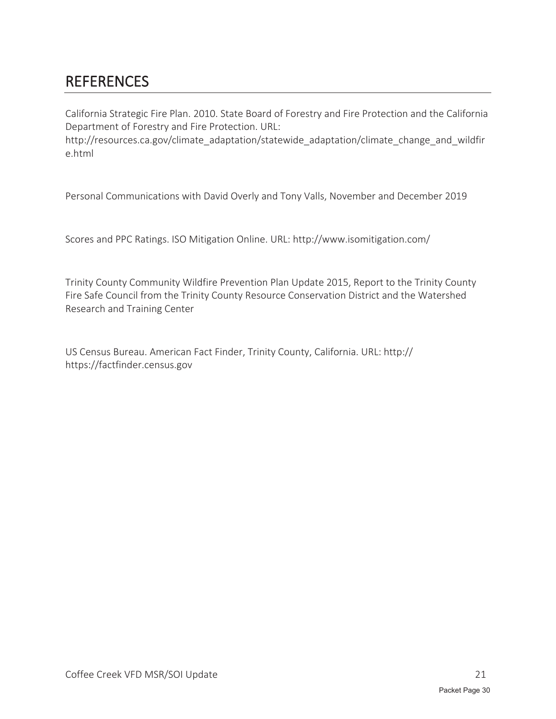## REFERENCES

California Strategic Fire Plan. 2010. State Board of Forestry and Fire Protection and the California Department of Forestry and Fire Protection. URL:

http://resources.ca.gov/climate\_adaptation/statewide\_adaptation/climate\_change\_and\_wildfir e.html

Personal Communications with David Overly and Tony Valls, November and December 2019

Scores and PPC Ratings. ISO Mitigation Online. URL: http://www.isomitigation.com/

Trinity County Community Wildfire Prevention Plan Update 2015, Report to the Trinity County Fire Safe Council from the Trinity County Resource Conservation District and the Watershed Research and Training Center

US Census Bureau. American Fact Finder, Trinity County, California. URL: http:// https://factfinder.census.gov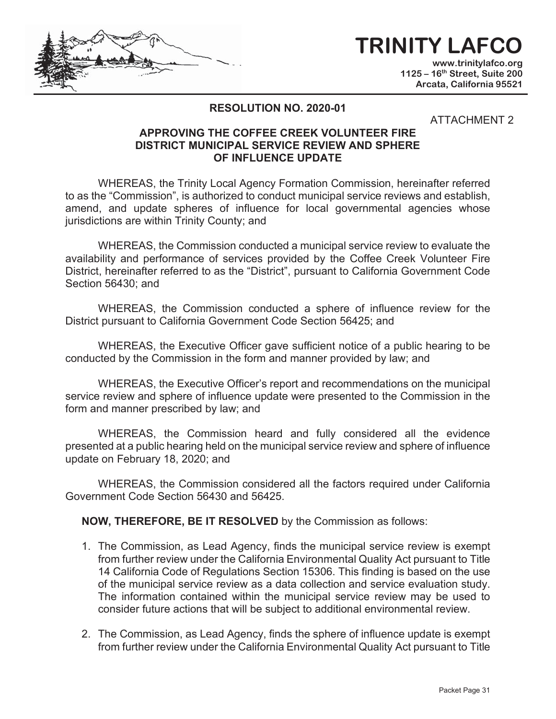# **TRINITY LAFCO**

**www.trinitylafco.org 1125 – 16th Street, Suite 200 Arcata, California 95521** 

#### **RESOLUTION NO. 2020-01**

#### ATTACHMENT 2

#### **APPROVING THE COFFEE CREEK VOLUNTEER FIRE DISTRICT MUNICIPAL SERVICE REVIEW AND SPHERE OF INFLUENCE UPDATE**

WHEREAS, the Trinity Local Agency Formation Commission, hereinafter referred to as the "Commission", is authorized to conduct municipal service reviews and establish, amend, and update spheres of influence for local governmental agencies whose jurisdictions are within Trinity County; and

WHEREAS, the Commission conducted a municipal service review to evaluate the availability and performance of services provided by the Coffee Creek Volunteer Fire District, hereinafter referred to as the "District", pursuant to California Government Code Section 56430; and

WHEREAS, the Commission conducted a sphere of influence review for the District pursuant to California Government Code Section 56425; and

WHEREAS, the Executive Officer gave sufficient notice of a public hearing to be conducted by the Commission in the form and manner provided by law; and

WHEREAS, the Executive Officer's report and recommendations on the municipal service review and sphere of influence update were presented to the Commission in the form and manner prescribed by law; and

WHEREAS, the Commission heard and fully considered all the evidence presented at a public hearing held on the municipal service review and sphere of influence update on February 18, 2020; and

WHEREAS, the Commission considered all the factors required under California Government Code Section 56430 and 56425.

**NOW, THEREFORE, BE IT RESOLVED** by the Commission as follows:

- 1. The Commission, as Lead Agency, finds the municipal service review is exempt from further review under the California Environmental Quality Act pursuant to Title 14 California Code of Regulations Section 15306. This finding is based on the use of the municipal service review as a data collection and service evaluation study. The information contained within the municipal service review may be used to consider future actions that will be subject to additional environmental review.
- 2. The Commission, as Lead Agency, finds the sphere of influence update is exempt from further review under the California Environmental Quality Act pursuant to Title